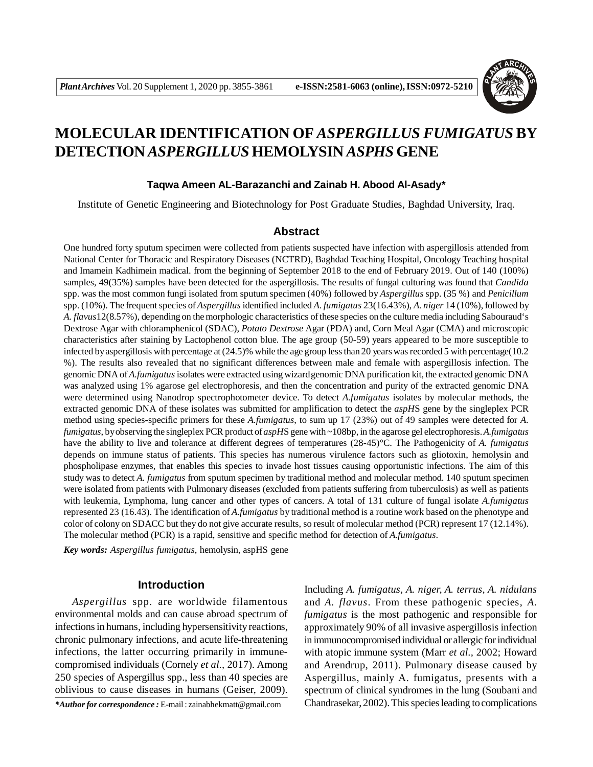

# **MOLECULAR IDENTIFICATION OF** *ASPERGILLUS FUMIGATUS* **BY DETECTION** *ASPERGILLUS* **HEMOLYSIN** *ASPHS* **GENE**

#### **Taqwa Ameen AL-Barazanchi and Zainab H. Abood Al-Asady\***

Institute of Genetic Engineering and Biotechnology for Post Graduate Studies, Baghdad University, Iraq.

#### **Abstract**

One hundred forty sputum specimen were collected from patients suspected have infection with aspergillosis attended from National Center for Thoracic and Respiratory Diseases (NCTRD), Baghdad Teaching Hospital, Oncology Teaching hospital and Imamein Kadhimein madical. from the beginning of September 2018 to the end of February 2019. Out of 140 (100%) samples, 49(35%) samples have been detected for the aspergillosis. The results of fungal culturing was found that *Candida* spp. was the most common fungi isolated from sputum specimen (40%) followed by *Aspergillus* spp. (35 %) and *Penicillum* spp. (10%). The frequent species of *Aspergillus* identified included *A. fumigatus* 23(16.43%), *A. niger* 14 (10%), followed by *A. flavus*12(8.57%), depending on the morphologic characteristics of these species on the culture media including Sabouraud's Dextrose Agar with chloramphenicol (SDAC), *Potato Dextrose* Agar (PDA) and, Corn Meal Agar (CMA) and microscopic characteristics after staining by Lactophenol cotton blue. The age group (50-59) years appeared to be more susceptible to infected by aspergillosis with percentage at (24.5)% while the age group less than 20 years was recorded 5 with percentage(10.2 %). The results also revealed that no significant differences between male and female with aspergillosis infection. The genomic DNA of *A.fumigatus* isolates were extracted using wizardgenomic DNA purification kit, the extracted genomic DNA was analyzed using 1% agarose gel electrophoresis, and then the concentration and purity of the extracted genomic DNA were determined using Nanodrop spectrophotometer device. To detect *A.fumigatus* isolates by molecular methods, the extracted genomic DNA of these isolates was submitted for amplification to detect the *aspH*S gene by the singleplex PCR method using species**-**specific primers for these *A.fumigatus*, to sum up 17 (23%) out of 49 samples were detected for *A. fumigatus*, by observing the singleplex PCR product of *aspH*S gene with ~108bp, in the agarose gel electrophoresis. *A.fumigatus* have the ability to live and tolerance at different degrees of temperatures (28-45)°C. The Pathogenicity of *A. fumigatus* depends on immune status of patients. This species has numerous virulence factors such as gliotoxin, hemolysin and phospholipase enzymes, that enables this species to invade host tissues causing opportunistic infections. The aim of this study was to detect *A. fumigatus* from sputum specimen by traditional method and molecular method. 140 sputum specimen were isolated from patients with Pulmonary diseases (excluded from patients suffering from tuberculosis) as well as patients with leukemia, Lymphoma, lung cancer and other types of cancers. A total of 131 culture of fungal isolate *A.fumigatus* represented 23 (16.43). The identification of *A.fumigatus* by traditional method is a routine work based on the phenotype and color of colony on SDACC but they do not give accurate results, so result of molecular method (PCR) represent 17 (12.14%). The molecular method (PCR) is a rapid, sensitive and specific method for detection of *A.fumigatus*.

*Key words: Aspergillus fumigatus*, hemolysin, aspHS gene

## **Introduction**

*Aspergillus* spp. are worldwide filamentous environmental molds and can cause abroad spectrum of infections in humans, including hypersensitivity reactions, chronic pulmonary infections, and acute life-threatening infections, the latter occurring primarily in immunecompromised individuals (Cornely *et al.,* 2017). Among 250 species of Aspergillus spp., less than 40 species are oblivious to cause diseases in humans (Geiser, 2009).

*\*Author for correspondence :* E-mail : zainabhekmatt@gmail.com

Including *A. fumigatus, A. niger, A. terrus, A. nidulans* and *A. flavus*. From these pathogenic species, *A. fumigatus* is the most pathogenic and responsible for approximately 90% of all invasive aspergillosis infection in immunocompromised individual or allergic for individual with atopic immune system (Marr *et al.,* 2002; Howard and Arendrup, 2011). Pulmonary disease caused by Aspergillus, mainly A. fumigatus, presents with a spectrum of clinical syndromes in the lung (Soubani and Chandrasekar, 2002). This species leading to complications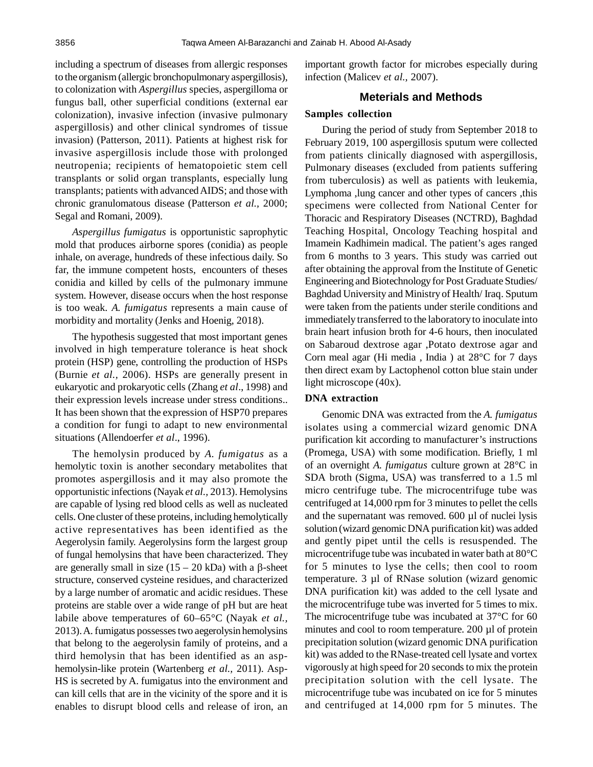including a spectrum of diseases from allergic responses to the organism (allergic bronchopulmonary aspergillosis), to colonization with *Aspergillus* species, aspergilloma or fungus ball, other superficial conditions (external ear colonization), invasive infection (invasive pulmonary aspergillosis) and other clinical syndromes of tissue invasion) (Patterson, 2011). Patients at highest risk for invasive aspergillosis include those with prolonged neutropenia; recipients of hematopoietic stem cell transplants or solid organ transplants, especially lung transplants; patients with advanced AIDS; and those with chronic granulomatous disease (Patterson *et al.,* 2000; Segal and Romani, 2009).

*Aspergillus fumigatus* is opportunistic saprophytic mold that produces airborne spores (conidia) as people inhale, on average, hundreds of these infectious daily. So far, the immune competent hosts, encounters of theses conidia and killed by cells of the pulmonary immune system. However, disease occurs when the host response is too weak. *A. fumigatus* represents a main cause of morbidity and mortality (Jenks and Hoenig, 2018).

The hypothesis suggested that most important genes involved in high temperature tolerance is heat shock protein (HSP) gene, controlling the production of HSPs (Burnie *et al.,* 2006). HSPs are generally present in eukaryotic and prokaryotic cells (Zhang *et al*., 1998) and their expression levels increase under stress conditions.. It has been shown that the expression of HSP70 prepares a condition for fungi to adapt to new environmental situations (Allendoerfer *et al*., 1996).

The hemolysin produced by *A. fumigatus* as a hemolytic toxin is another secondary metabolites that promotes aspergillosis and it may also promote the opportunistic infections (Nayak *et al.,* 2013). Hemolysins are capable of lysing red blood cells as well as nucleated cells. One cluster of these proteins, including hemolytically active representatives has been identified as the Aegerolysin family. Aegerolysins form the largest group of fungal hemolysins that have been characterized. They are generally small in size  $(15 – 20$  kDa) with a  $\beta$ -sheet structure, conserved cysteine residues, and characterized by a large number of aromatic and acidic residues. These proteins are stable over a wide range of pH but are heat labile above temperatures of 60–65°C (Nayak *et al.,* 2013). A. fumigatus possesses two aegerolysin hemolysins that belong to the aegerolysin family of proteins, and a third hemolysin that has been identified as an asphemolysin-like protein (Wartenberg *et al.,* 2011). Asp-HS is secreted by A. fumigatus into the environment and can kill cells that are in the vicinity of the spore and it is enables to disrupt blood cells and release of iron, an important growth factor for microbes especially during infection (Malicev *et al.,* 2007).

#### **Meterials and Methods**

#### **Samples collection**

During the period of study from September 2018 to February 2019, 100 aspergillosis sputum were collected from patients clinically diagnosed with aspergillosis, Pulmonary diseases (excluded from patients suffering from tuberculosis) as well as patients with leukemia, Lymphoma ,lung cancer and other types of cancers ,this specimens were collected from National Center for Thoracic and Respiratory Diseases (NCTRD), Baghdad Teaching Hospital, Oncology Teaching hospital and Imamein Kadhimein madical. The patient's ages ranged from 6 months to 3 years. This study was carried out after obtaining the approval from the Institute of Genetic Engineering and Biotechnology for Post Graduate Studies/ Baghdad University and Ministry of Health/ Iraq. Sputum were taken from the patients under sterile conditions and immediately transferred to the laboratory to inoculate into brain heart infusion broth for 4-6 hours, then inoculated on Sabaroud dextrose agar ,Potato dextrose agar and Corn meal agar (Hi media , India ) at 28°C for 7 days then direct exam by Lactophenol cotton blue stain under light microscope (40x).

## **DNA extraction**

Genomic DNA was extracted from the *A. fumigatus* isolates using a commercial wizard genomic DNA purification kit according to manufacturer's instructions (Promega, USA) with some modification. Briefly, 1 ml of an overnight *A. fumigatus* culture grown at 28°C in SDA broth (Sigma, USA) was transferred to a 1.5 ml micro centrifuge tube. The microcentrifuge tube was centrifuged at 14,000 rpm for 3 minutes to pellet the cells and the supernatant was removed. 600 µl of nuclei lysis solution (wizard genomic DNA purification kit) was added and gently pipet until the cells is resuspended. The microcentrifuge tube was incubated in water bath at 80°C for 5 minutes to lyse the cells; then cool to room temperature. 3 µl of RNase solution (wizard genomic DNA purification kit) was added to the cell lysate and the microcentrifuge tube was inverted for 5 times to mix. The microcentrifuge tube was incubated at 37°C for 60 minutes and cool to room temperature. 200 µl of protein precipitation solution (wizard genomic DNA purification kit) was added to the RNase-treated cell lysate and vortex vigorously at high speed for 20 seconds to mix the protein precipitation solution with the cell lysate. The microcentrifuge tube was incubated on ice for 5 minutes and centrifuged at 14,000 rpm for 5 minutes. The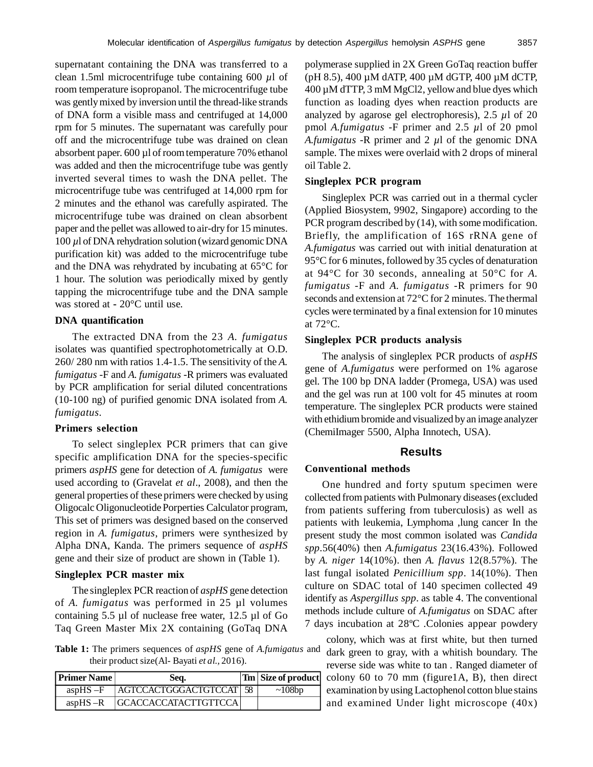supernatant containing the DNA was transferred to a clean 1.5ml microcentrifuge tube containing 600 *µ*l of room temperature isopropanol. The microcentrifuge tube was gently mixed by inversion until the thread-like strands of DNA form a visible mass and centrifuged at 14,000 rpm for 5 minutes. The supernatant was carefully pour off and the microcentrifuge tube was drained on clean absorbent paper. 600 µl of room temperature 70% ethanol was added and then the microcentrifuge tube was gently inverted several times to wash the DNA pellet. The microcentrifuge tube was centrifuged at 14,000 rpm for 2 minutes and the ethanol was carefully aspirated. The microcentrifuge tube was drained on clean absorbent paper and the pellet was allowed to air-dry for 15 minutes. 100 *µ*l of DNA rehydration solution (wizard genomic DNA purification kit) was added to the microcentrifuge tube and the DNA was rehydrated by incubating at 65°C for 1 hour. The solution was periodically mixed by gently tapping the microcentrifuge tube and the DNA sample was stored at **-** 20°C until use.

#### **DNA quantification**

The extracted DNA from the 23 *A. fumigatus* isolates was quantified spectrophotometrically at O.D. 260/ 280 nm with ratios 1.4-1.5. The sensitivity of the *A. fumigatus* -F and *A. fumigatus* -R primers was evaluated by PCR amplification for serial diluted concentrations (10-100 ng) of purified genomic DNA isolated from *A. fumigatus.*

#### **Primers selection**

To select singleplex PCR primers that can give specific amplification DNA for the species-specific primers *aspHS* gene for detection of *A. fumigatus* were used according to (Gravelat *et al*., 2008), and then the general properties of these primers were checked by using Oligocalc Oligonucleotide Porperties Calculator program, This set of primers was designed based on the conserved region in *A. fumigatus*, primers were synthesized by Alpha DNA, Kanda. The primers sequence of *aspHS* gene and their size of product are shown in (Table 1).

#### **Singleplex PCR master mix**

The singleplex PCR reaction of *aspHS* gene detection of *A. fumigatus* was performed in 25 µl volumes containing 5.5 µl of nuclease free water, 12.5 µl of Go Taq Green Master Mix 2X containing (GoTaq DNA

**Table 1:** The primers sequences of *aspHS* gene of *A.fumigatus* and their product size(Al- Bayati *et al.,* 2016).

| Primer Name  | Seq.                      | Tm   Size of product |
|--------------|---------------------------|----------------------|
| $aspHS -F$   | AGTCCACTGGGACTGTCCAT   58 | ~108bp               |
| asp $HS - R$ | GCACCACCATACTTGTTCCA      |                      |

polymerase supplied in 2X Green GoTaq reaction buffer (pH 8.5), 400 µM dATP, 400 µM dGTP, 400 µM dCTP, 400 µM dTTP, 3 mM MgCl2, yellow and blue dyes which function as loading dyes when reaction products are analyzed by agarose gel electrophoresis), 2.5 *µ*l of 20 pmol *A.fumigatus* -F primer and 2.5 *µ*l of 20 pmol *A.fumigatus* -R primer and 2 *µ*l of the genomic DNA sample. The mixes were overlaid with 2 drops of mineral oil Table 2.

## **Singleplex PCR program**

Singleplex PCR was carried out in a thermal cycler (Applied Biosystem, 9902, Singapore) according to the PCR program described by  $(14)$ , with some modification. Briefly, the amplification of 16S rRNA gene of *A.fumigatus* was carried out with initial denaturation at 95°C for 6 minutes, followed by 35 cycles of denaturation at 94°C for 30 seconds, annealing at 50°C for *A. fumigatus* -F and *A. fumigatus* -R primers for 90 seconds and extension at 72°C for 2 minutes. The thermal cycles were terminated by a final extension for 10 minutes at 72°C.

## **Singleplex PCR products analysis**

The analysis of singleplex PCR products of *aspHS* gene of *A.fumigatus* were performed on 1% agarose gel. The 100 bp DNA ladder (Promega, USA) was used and the gel was run at 100 volt for 45 minutes at room temperature. The singleplex PCR products were stained with ethidium bromide and visualized by an image analyzer (ChemiImager 5500, Alpha Innotech, USA).

## **Results**

#### **Conventional methods**

One hundred and forty sputum specimen were collected from patients with Pulmonary diseases (excluded from patients suffering from tuberculosis) as well as patients with leukemia, Lymphoma ,lung cancer In the present study the most common isolated was *Candida spp.*56(40%) then *A.fumigatus* 23(16.43%). Followed by *A. niger* 14(10%). then *A. flavus* 12(8.57%). The last fungal isolated *Penicillium spp*. 14(10%). Then culture on SDAC total of 140 specimen collected 49 identify as *Aspergillus spp*. as table 4. The conventional methods include culture of *A.fumigatus* on SDAC after 7 days incubation at 28ºC .Colonies appear powdery

colony, which was at first white, but then turned dark green to gray, with a whitish boundary. The reverse side was white to tan *.* Ranged diameter of colony 60 to 70 mm (figure1A, B), then direct examination by using Lactophenol cotton blue stains and examined Under light microscope (40x)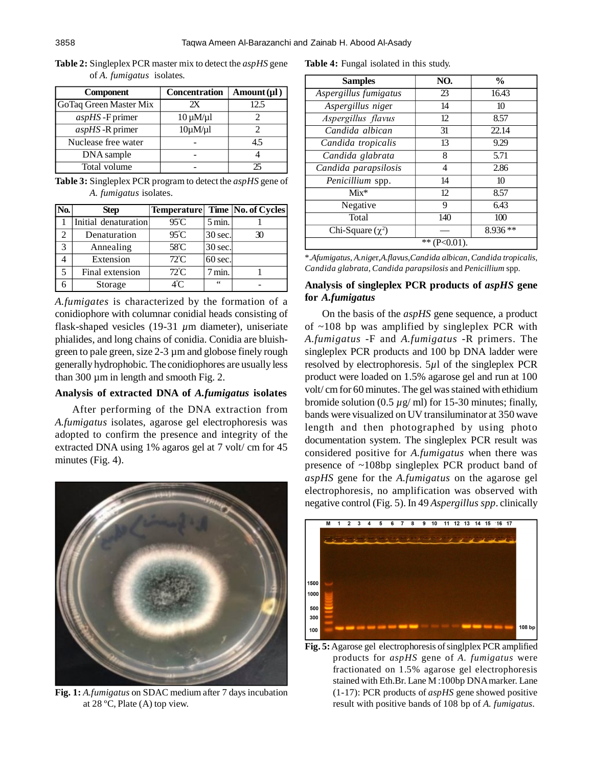| <b>Component</b>       | <b>Concentration</b> | Amount $(\mu l)$ |
|------------------------|----------------------|------------------|
| GoTaq Green Master Mix | 2X                   | 12.5             |
| $aspHS$ -F primer      | $10 \mu M/\mu$       |                  |
| $aspHS$ -R primer      | $10\mu M/\mu$        |                  |
| Nuclease free water    |                      | 4.5              |
| DNA sample             |                      |                  |
| Total volume           |                      | 25               |

**Table 2:** Singleplex PCR master mix to detect the *aspHS* gene of *A. fumigatus* isolates*.*

**Table 3:** Singleplex PCR program to detect the *aspHS* gene of *A. fumigatus* isolates.

| No.           | <b>Step</b>          |                |                   | <b>Temperature</b> Time No. of Cycles |
|---------------|----------------------|----------------|-------------------|---------------------------------------|
|               | Initial denaturation | $95^{\circ}$ C | $5 \text{ min}$ . |                                       |
|               | Denaturation         | $95^{\circ}$ C | 30 sec.           | 30                                    |
| $\mathcal{R}$ | Annealing            | 58°C           | 30 sec.           |                                       |
|               | Extension            | $72^{\circ}$ C | 60 sec.           |                                       |
| 5             | Final extension      | $72^{\circ}$ C | min.              |                                       |
|               | Storage              | 4°C            | 66                |                                       |

*A.fumigates* is characterized by the formation of a conidiophore with columnar conidial heads consisting of flask-shaped vesicles (19-31 *µ*m diameter), uniseriate phialides, and long chains of conidia. Conidia are bluishgreen to pale green, size 2-3 µm and globose finely rough generally hydrophobic. The conidiophores are usually less than 300 µm in length and smooth Fig. 2.

#### **Analysis of extracted DNA of** *A.fumigatus* **isolates**

After performing of the DNA extraction from *A.fumigatus* isolates, agarose gel electrophoresis was adopted to confirm the presence and integrity of the extracted DNA using 1% agaros gel at 7 volt/ cm for 45 minutes (Fig. 4).



**Fig. 1:** *A.fumigatus* on SDAC medium after 7 days incubation at 28 ºC, Plate (A) top view.

**Table 4:** Fungal isolated in this study.

| <b>Samples</b>        | NO.           | $\frac{0}{0}$ |
|-----------------------|---------------|---------------|
| Aspergillus fumigatus | 23            | 16.43         |
| Aspergillus niger     | 14            | 10            |
| Aspergillus flavus    | 12            | 8.57          |
| Candida albican       | 31            | 22.14         |
| Candida tropicalis    | 13            | 9.29          |
| Candida glabrata      | 8             | 5.71          |
| Candida parapsilosis  | 4             | 2.86          |
| Penicillium spp.      | 14            | 10            |
| $Mix*$                | 12            | 8.57          |
| Negative              | 9             | 6.43          |
| Total                 | 140           | 100           |
| Chi-Square $(\chi^2)$ |               | $8.936**$     |
|                       | $*$ (P<0.01). |               |

\**.Afumigatus*, *A.nige*r,*A.flavus*,*Candida albican*, *Candida tropicalis*, *Candida glabrata*, *Candida parapsilosis* and *Penicillium* spp.

## **Analysis of singleplex PCR products of** *aspHS* **gene for** *A.fumigatus*

On the basis of the *aspHS* gene sequence, a product of ~108 bp was amplified by singleplex PCR with *A.fumigatus* -F and *A.fumigatus* -R primers. The singleplex PCR products and 100 bp DNA ladder were resolved by electrophoresis. 5*µ*l of the singleplex PCR product were loaded on 1.5% agarose gel and run at 100 volt/ cm for 60 minutes. The gel was stained with ethidium bromide solution  $(0.5 \mu g/mol)$  for 15-30 minutes; finally, bands were visualized on UV transiluminator at 350 wave length and then photographed by using photo documentation system. The singleplex PCR result was considered positive for *A.fumigatus* when there was presence of ~108bp singleplex PCR product band of *aspHS* gene for the *A.fumigatus* on the agarose gel electrophoresis, no amplification was observed with negative control (Fig. 5). In 49 *Aspergillus spp*. clinically



**Fig. 5:** Agarose gel electrophoresis of singlplex PCR amplified products for *aspHS* gene of *A. fumigatus* were fractionated on 1.5% agarose gel electrophoresis stained with Eth.Br. Lane M :100bp DNA marker. Lane (1-17): PCR products of *aspHS* gene showed positive result with positive bands of 108 bp of *A. fumigatus*.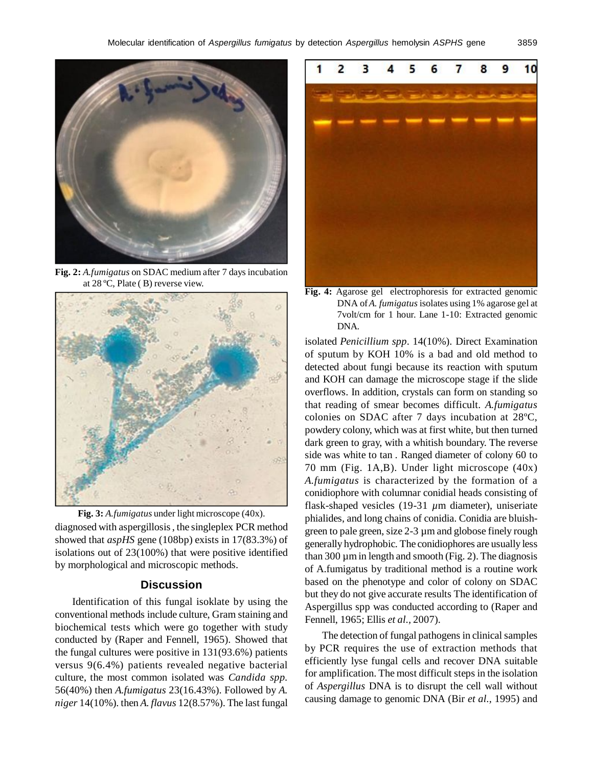

**Fig. 2:** *A.fumigatus* on SDAC medium after 7 days incubation at 28 ºC, Plate ( B) reverse view.



diagnosed with aspergillosis , the singleplex PCR method showed that *aspHS* gene (108bp) exists in 17(83.3%) of isolations out of 23(100%) that were positive identified by morphological and microscopic methods. **Fig. 3:** *A.fumigatus* under light microscope (40x).

# **Discussion**

Identification of this fungal isoklate by using the conventional methods include culture, Gram staining and biochemical tests which were go together with study conducted by (Raper and Fennell, 1965). Showed that the fungal cultures were positive in 131(93.6%) patients versus 9(6.4%) patients revealed negative bacterial culture, the most common isolated was *Candida spp.* 56(40%) then *A.fumigatus* 23(16.43%). Followed by *A. niger* 14(10%). then *A. flavus* 12(8.57%). The last fungal



**Fig. 4:** Agarose gel electrophoresis for extracted genomic DNA of *A. fumigatus* isolates using 1% agarose gel at 7volt/cm for 1 hour. Lane 1-10: Extracted genomic DNA.

isolated *Penicillium spp*. 14(10%). Direct Examination of sputum by KOH 10% is a bad and old method to detected about fungi because its reaction with sputum and KOH can damage the microscope stage if the slide overflows. In addition, crystals can form on standing so that reading of smear becomes difficult. *A.fumigatus* colonies on SDAC after 7 days incubation at 28ºC, powdery colony, which was at first white, but then turned dark green to gray, with a whitish boundary. The reverse side was white to tan *.* Ranged diameter of colony 60 to 70 mm (Fig. 1A,B). Under light microscope (40x) *A.fumigatus* is characterized by the formation of a conidiophore with columnar conidial heads consisting of flask-shaped vesicles (19-31 *µ*m diameter), uniseriate phialides, and long chains of conidia. Conidia are bluishgreen to pale green, size 2-3 µm and globose finely rough generally hydrophobic. The conidiophores are usually less than 300  $\mu$ m in length and smooth (Fig. 2). The diagnosis of A.fumigatus by traditional method is a routine work based on the phenotype and color of colony on SDAC but they do not give accurate results The identification of Aspergillus spp was conducted according to (Raper and Fennell, 1965; Ellis *et al.,* 2007).

The detection of fungal pathogens in clinical samples by PCR requires the use of extraction methods that efficiently lyse fungal cells and recover DNA suitable for amplification. The most difficult steps in the isolation of *Aspergillus* DNA is to disrupt the cell wall without causing damage to genomic DNA (Bir *et al.,* 1995) and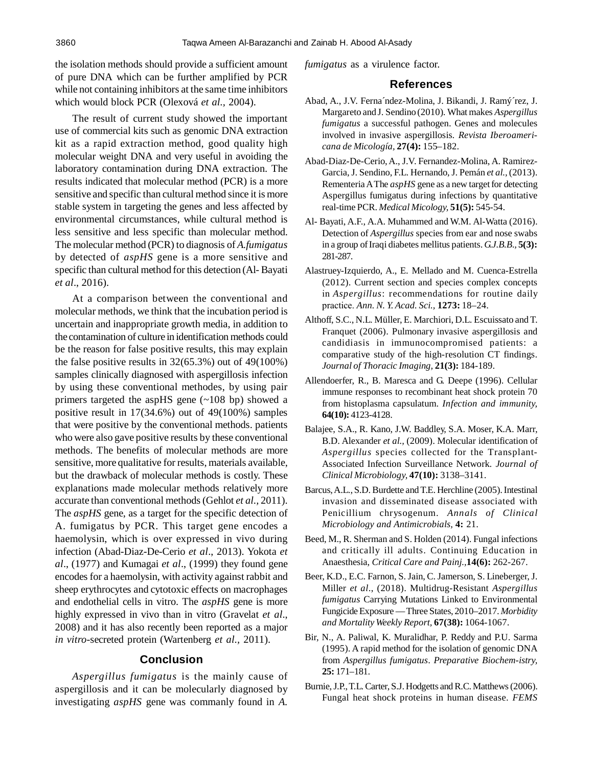the isolation methods should provide a sufficient amount of pure DNA which can be further amplified by PCR while not containing inhibitors at the same time inhibitors which would block PCR (Olexová *et al.,* 2004).

The result of current study showed the important use of commercial kits such as genomic DNA extraction kit as a rapid extraction method, good quality high molecular weight DNA and very useful in avoiding the laboratory contamination during DNA extraction. The results indicated that molecular method (PCR) is a more sensitive and specific than cultural method since it is more stable system in targeting the genes and less affected by environmental circumstances, while cultural method is less sensitive and less specific than molecular method. The molecular method (PCR) to diagnosis of *A.fumigatus* by detected of *aspHS* gene is a more sensitive and specific than cultural method for this detection (Al- Bayati *et al*., 2016).

At a comparison between the conventional and molecular methods, we think that the incubation period is uncertain and inappropriate growth media, in addition to the contamination of culture in identification methods could be the reason for false positive results, this may explain the false positive results in  $32(65.3%)$  out of  $49(100%)$ samples clinically diagnosed with aspergillosis infection by using these conventional methodes, by using pair primers targeted the aspHS gene (~108 bp) showed a positive result in 17(34.6%) out of 49(100%) samples that were positive by the conventional methods. patients who were also gave positive results by these conventional methods. The benefits of molecular methods are more sensitive, more qualitative for results, materials available, but the drawback of molecular methods is costly. These explanations made molecular methods relatively more accurate than conventional methods (Gehlot *et al.,* 2011). The *aspHS* gene, as a target for the specific detection of A. fumigatus by PCR. This target gene encodes a haemolysin, which is over expressed in vivo during infection (Abad-Diaz-De-Cerio *et al*., 2013). Yokota *et al*., (1977) and Kumagai *et al*., (1999) they found gene encodes for a haemolysin, with activity against rabbit and sheep erythrocytes and cytotoxic effects on macrophages and endothelial cells in vitro. The *aspHS* gene is more highly expressed in vivo than in vitro (Gravelat *et al*., 2008) and it has also recently been reported as a major *in vitro*-secreted protein (Wartenberg *et al.,* 2011).

## **Conclusion**

*Aspergillus fumigatus* is the mainly cause of aspergillosis and it can be molecularly diagnosed by investigating *aspHS* gene was commanly found in *A.*

*fumigatus* as a virulence factor.

#### **References**

- Abad, A., J.V. Ferna´ndez-Molina, J. Bikandi, J. Ramý´rez, J. Margareto and J. Sendino (2010). What makes *Aspergillus fumigatus* a successful pathogen. Genes and molecules involved in invasive aspergillosis*. Revista Iberoamericana de Micología,* **27(4):** 155–182.
- Abad-Diaz-De-Cerio, A., J.V. Fernandez-Molina, A. Ramirez-Garcia, J. Sendino, F.L. Hernando, J. Pemán *et al.,* (2013). Rementeria A The *aspHS* gene as a new target for detecting Aspergillus fumigatus during infections by quantitative real-time PCR. *Medical Micology,* **51(5):** 545-54.
- Al- Bayati, A.F., A.A. Muhammed and W.M. Al-Watta (2016). Detection of *Aspergillus* species from ear and nose swabs in a group of Iraqi diabetes mellitus patients. *G.J.B.B.,* **5(3):** 281-287.
- Alastruey-Izquierdo, A., E. Mellado and M. Cuenca-Estrella (2012). Current section and species complex concepts in *Aspergillus*: recommendations for routine daily practice. *Ann. N. Y. Acad. Sci.,* **1273:** 18–24.
- Althoff, S.C., N.L. Müller, E. Marchiori, D.L. Escuissato and T. Franquet (2006). Pulmonary invasive aspergillosis and candidiasis in immunocompromised patients: a comparative study of the high-resolution CT findings. *Journal of Thoracic Imaging,* **21(3):** 184-189.
- Allendoerfer, R., B. Maresca and G. Deepe (1996). Cellular immune responses to recombinant heat shock protein 70 from histoplasma capsulatum. *Infection and immunity,* **64(10):** 4123-4128.
- Balajee, S.A., R. Kano, J.W. Baddley, S.A. Moser, K.A. Marr, B.D. Alexander *et al.,* (2009). Molecular identification of *Aspergillus* species collected for the Transplant-Associated Infection Surveillance Network. *Journal of Clinical Microbiology,* **47(10):** 3138–3141.
- Barcus, A.L., S.D. Burdette and T.E. Herchline (2005). Intestinal invasion and disseminated disease associated with Penicillium chrysogenum. *Annals of Clinical Microbiology and Antimicrobials,* **4:** 21.
- Beed, M., R. Sherman and S. Holden (2014). Fungal infections and critically ill adults. Continuing Education in Anaesthesia, *Critical Care and Painj.,***14(6):** 262-267.
- Beer, K.D., E.C. Farnon, S. Jain, C. Jamerson, S. Lineberger,J. Miller *et al*., (2018). Multidrug-Resistant *Aspergillus fumigatus* Carrying Mutations Linked to Environmental Fungicide Exposure — Three States, 2010–2017. *Morbidity and Mortality Weekly Report,* **67(38):** 1064-1067.
- Bir, N., A. Paliwal, K. Muralidhar, P. Reddy and P.U. Sarma (1995). A rapid method for the isolation of genomic DNA from *Aspergillus fumigatus*. *Preparative Biochem-istry,* **25:** 171–181.
- Burnie, J.P., T.L. Carter, S.J. Hodgetts and R.C. Matthews (2006). Fungal heat shock proteins in human disease. *FEMS*